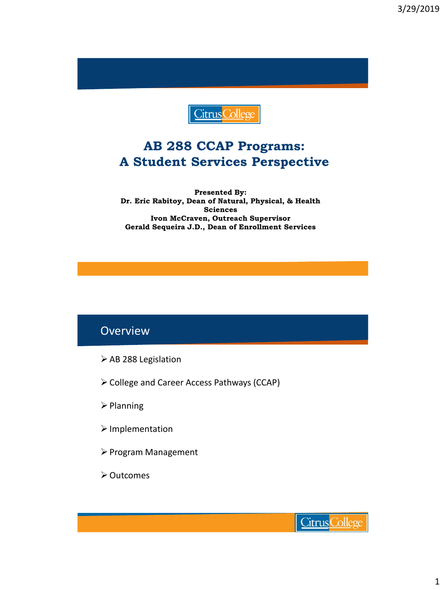

### **AB 288 CCAP Programs: A Student Services Perspective**

**Presented By: Dr. Eric Rabitoy, Dean of Natural, Physical, & Health Sciences Ivon McCraven, Outreach Supervisor Gerald Sequeira J.D., Dean of Enrollment Services**

#### **Overview**

- ➢AB 288 Legislation
- ➢College and Career Access Pathways (CCAP)
- ➢Planning
- ➢Implementation
- ➢Program Management
- ➢Outcomes

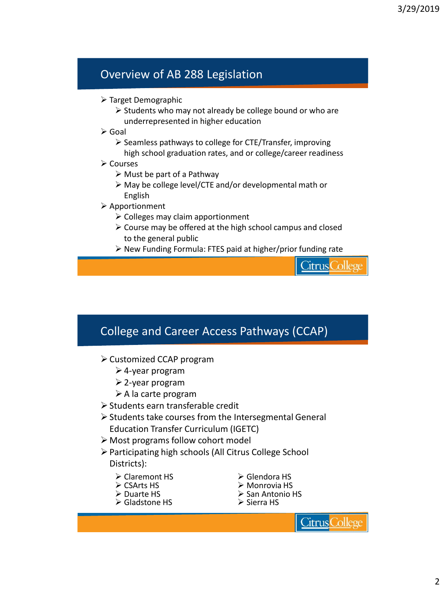### Overview of AB 288 Legislation

- ➢ Target Demographic
	- ➢ Students who may not already be college bound or who are underrepresented in higher education
- ➢ Goal
	- ➢ Seamless pathways to college for CTE/Transfer, improving high school graduation rates, and or college/career readiness
- ➢ Courses
	- $\triangleright$  Must be part of a Pathway
	- ➢ May be college level/CTE and/or developmental math or English
- ➢ Apportionment
	- ➢ Colleges may claim apportionment
	- ➢ Course may be offered at the high school campus and closed to the general public
	- ➢ New Funding Formula: FTES paid at higher/prior funding rate

Citrus Colleg

#### College and Career Access Pathways (CCAP)

- ➢Customized CCAP program
	- ➢4-year program
	- ➢2-year program
	- ➢A la carte program
- ➢Students earn transferable credit
- ➢Students take courses from the Intersegmental General Education Transfer Curriculum (IGETC)
- ➢ Most programs follow cohort model
- ➢Participating high schools (All Citrus College School Districts):
	- ➢ Claremont HS
	- ➢ CSArts HS
	- ➢ Duarte HS
	- ➢ Gladstone HS
- ➢ Glendora HS
- ➢ Monrovia HS
- ➢ San Antonio HS
- ➢ Sierra HS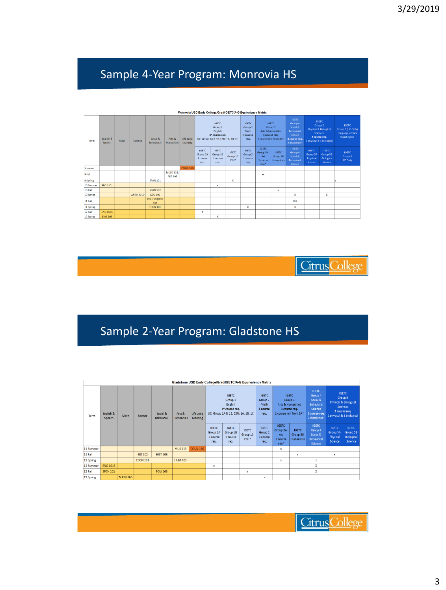## Sample 4-Year Program: Monrovia HS

|           | Monrovia USD Early College/Grad/IGETC/A-G Equivalency Matrix |      |                  |                            |                                    |                       |                                              |                                                                  |                                     |                                             |                                                        |                                               |                                                              |                                                                                                                                                          |                                                          |                                                                                                 |  |                                                                                                                              |                                                                             |
|-----------|--------------------------------------------------------------|------|------------------|----------------------------|------------------------------------|-----------------------|----------------------------------------------|------------------------------------------------------------------|-------------------------------------|---------------------------------------------|--------------------------------------------------------|-----------------------------------------------|--------------------------------------------------------------|----------------------------------------------------------------------------------------------------------------------------------------------------------|----------------------------------------------------------|-------------------------------------------------------------------------------------------------|--|------------------------------------------------------------------------------------------------------------------------------|-----------------------------------------------------------------------------|
| Term      | English &<br>Speech                                          | Math | Science          | Social &<br>Behavioral     | Arts &<br><b>Humanities</b>        | Life Long<br>Learning |                                              | <b>IGETC</b><br>Group 1<br>English<br>3 <sup>*</sup> course req. |                                     |                                             | UC: Group 1A & 1B, CSU: 1A, 1B, 1C                     |                                               |                                                              | <b>IGETC</b><br><b>IGETC</b><br>Group 3<br>Group 2<br><b>Arts &amp; Humanities</b><br>Math<br>3 course req.<br>1 course<br>1 course min from 3A*<br>req. |                                                          | <b>IGFTC</b><br>Group 4<br>Social &<br>Behavioral<br>Science<br>3 course req.<br>2 disciplines* |  | <b>IGETC</b><br>Group 5<br><b>Physical &amp; Biological</b><br><b>Sciences</b><br>2 course reg.<br>1 physical & 1 biological | <b>IGETC</b><br>Group 6 (UC Only)<br><b>Languages Other</b><br>than English |
|           |                                                              |      |                  |                            |                                    |                       | <b>IGETC</b><br>Group 1A<br>1 course<br>reg. | <b>IGETC</b><br>Group 1B<br>1 course<br>reg.                     | <b>IGFTC</b><br>Group 1C<br>$CSU^*$ | <b>IGETC</b><br>Group 2<br>1 course<br>reg. | <b>IGETC</b><br>Group 3A:<br>Art<br>1 course<br>$min*$ | <b>IGETC</b><br>Group 3B<br><b>Humanities</b> | <b>IGETC</b><br>Group 4<br>Social &<br>Behavioral<br>Science | <b>IGETC</b><br>Group 5A<br>Physical<br>Science                                                                                                          | <b>IGETC</b><br>Group 5B<br><b>Biological</b><br>Science | <b>IGETC</b><br>Group 4<br><b>UC Only</b>                                                       |  |                                                                                                                              |                                                                             |
| Summer    |                                                              |      |                  |                            |                                    | <b>COUN 160</b>       |                                              |                                                                  |                                     |                                             |                                                        |                                               |                                                              |                                                                                                                                                          |                                                          |                                                                                                 |  |                                                                                                                              |                                                                             |
| 9 Fall    |                                                              |      |                  |                            | <b>MUSE 113.</b><br><b>ART 105</b> |                       |                                              |                                                                  |                                     |                                             | XX                                                     |                                               |                                                              |                                                                                                                                                          |                                                          |                                                                                                 |  |                                                                                                                              |                                                                             |
| 9 Spring  |                                                              |      |                  | <b>SPAN 101</b>            |                                    |                       |                                              |                                                                  | $\mathbf x$                         |                                             |                                                        |                                               |                                                              |                                                                                                                                                          |                                                          |                                                                                                 |  |                                                                                                                              |                                                                             |
| 10 Summer | <b>SPCH 101</b>                                              |      |                  |                            |                                    |                       |                                              | $\bf{x}$                                                         |                                     |                                             |                                                        |                                               |                                                              |                                                                                                                                                          |                                                          |                                                                                                 |  |                                                                                                                              |                                                                             |
| 10 Fall   |                                                              |      |                  | <b>SPAN 102</b>            |                                    |                       |                                              |                                                                  |                                     |                                             |                                                        | $\boldsymbol{\mathsf{x}}$                     |                                                              |                                                                                                                                                          |                                                          |                                                                                                 |  |                                                                                                                              |                                                                             |
| 10 Spring |                                                              |      | <b>ANTH 2010</b> | GEO 102                    |                                    |                       |                                              |                                                                  |                                     |                                             |                                                        |                                               | x                                                            |                                                                                                                                                          | x                                                        |                                                                                                 |  |                                                                                                                              |                                                                             |
| 11 Fall   |                                                              |      |                  | <b>POLI 103/PSY</b><br>101 |                                    |                       |                                              |                                                                  |                                     |                                             |                                                        |                                               | <b>XX</b>                                                    |                                                                                                                                                          |                                                          |                                                                                                 |  |                                                                                                                              |                                                                             |
| 11 Spring |                                                              |      |                  | <b>ECON 101</b>            |                                    |                       |                                              |                                                                  |                                     | x                                           |                                                        |                                               | x                                                            |                                                                                                                                                          |                                                          |                                                                                                 |  |                                                                                                                              |                                                                             |
| 12 Fall   | <b>ENG 101E</b>                                              |      |                  |                            |                                    |                       | x                                            |                                                                  |                                     |                                             |                                                        |                                               |                                                              |                                                                                                                                                          |                                                          |                                                                                                 |  |                                                                                                                              |                                                                             |
| 12 Spring | <b>ENG 103</b>                                               |      |                  |                            |                                    |                       |                                              | x                                                                |                                     |                                             |                                                        |                                               |                                                              |                                                                                                                                                          |                                                          |                                                                                                 |  |                                                                                                                              |                                                                             |

**Citrus** College

## Sample 2-Year Program: Gladstone HS

|           | Gladstone USD Early College/Grad/IGETC/A-G Equivalency Matrix |                 |                 |                        |                             |                       |                                                                                            |                                              |                                     |                                                     |                                                                                                   |                                        |                                                                                                 |                                                                                                                              |                                                          |
|-----------|---------------------------------------------------------------|-----------------|-----------------|------------------------|-----------------------------|-----------------------|--------------------------------------------------------------------------------------------|----------------------------------------------|-------------------------------------|-----------------------------------------------------|---------------------------------------------------------------------------------------------------|----------------------------------------|-------------------------------------------------------------------------------------------------|------------------------------------------------------------------------------------------------------------------------------|----------------------------------------------------------|
| Term      | English &<br>Speech                                           | Math            | Science         | Social &<br>Behavioral | Arts &<br><b>Humanities</b> | Life Long<br>Learning | <b>IGETC</b><br>Group 1<br>English<br>3* course req.<br>UC: Group 1A & 1B, CSU: 1A, 1B, 1C |                                              |                                     | <b>IGETC</b><br>Group 2<br>Math<br>1 course<br>req. | <b>IGETC</b><br>Group 3<br><b>Arts &amp; Humanities</b><br>3 course req.<br>1 course min from 3A* |                                        | <b>IGETC</b><br>Group 4<br>Social &<br>Behavioral<br>Science<br>3 course req.<br>2 disciplines* | <b>IGETC</b><br>Group 5<br><b>Physical &amp; Biological</b><br><b>Sciences</b><br>2 course req.<br>1 physical & 1 biological |                                                          |
|           |                                                               |                 |                 |                        |                             |                       | <b>IGETC</b><br>Group 1A<br>1 course<br>req.                                               | <b>IGETC</b><br>Group 1B<br>1 course<br>rea. | <b>IGETC</b><br>Group 1C<br>$CSU^*$ | <b>IGETC</b><br>Group 2<br>1 course<br>rea.         | <b>IGETC</b><br>Group 3A:<br>Art<br>1 course<br>$min*$                                            | <b>IGETC</b><br>Group 3B<br>Humanities | <b>IGETC</b><br>Group 4<br>Social &<br>Behavioral<br>Science                                    | <b>IGETC</b><br>Group 5A<br>Physical<br>Science                                                                              | <b>IGETC</b><br>Group 5B<br><b>Biological</b><br>Science |
| 11 Summer |                                                               |                 |                 |                        | <b>MUS 113</b>              | <b>COUN 160</b>       |                                                                                            |                                              |                                     |                                                     | x                                                                                                 |                                        |                                                                                                 |                                                                                                                              |                                                          |
| 11 Fall   |                                                               |                 | <b>BIO 102</b>  | <b>HIST 108</b>        |                             |                       |                                                                                            |                                              |                                     |                                                     |                                                                                                   | x                                      |                                                                                                 | x                                                                                                                            |                                                          |
| 11 Spring |                                                               |                 | <b>ECON 101</b> |                        | <b>HUM 102</b>              |                       |                                                                                            |                                              |                                     |                                                     | x                                                                                                 |                                        | x                                                                                               |                                                                                                                              |                                                          |
| 12 Summer | <b>ENG 101S</b>                                               |                 |                 |                        |                             |                       | $\overline{\mathbf{x}}$                                                                    |                                              |                                     |                                                     |                                                                                                   |                                        | X                                                                                               |                                                                                                                              |                                                          |
| 12 Fall   | <b>SPCH 101</b>                                               |                 |                 | <b>POLI 103</b>        |                             |                       |                                                                                            |                                              | x                                   |                                                     |                                                                                                   |                                        | x                                                                                               |                                                                                                                              |                                                          |
| 12 Spring |                                                               | <b>MATH 165</b> |                 |                        |                             |                       |                                                                                            |                                              |                                     | x                                                   |                                                                                                   |                                        |                                                                                                 |                                                                                                                              |                                                          |

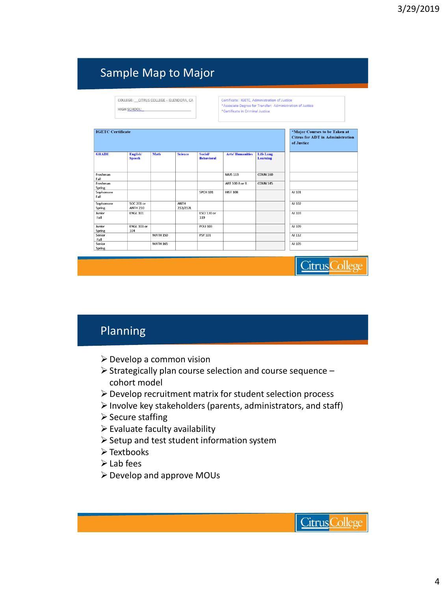## Sample Map to Major

|                     | COLLEGE: CITRUS COLLEGE - GLENDORA, CA |  |
|---------------------|----------------------------------------|--|
| <b>HIGH SCHOOL:</b> |                                        |  |

Certificate: IGETC, Administration of Justice Certificate: TGETC, Administration of Justice<br>\*Associate Degree for Transfer: Administration of Justice \*Certificate in Criminal Justice

| <b>IGETC Certificate</b> |                                      |                 |                  |                                     |                        |                              | *Major Courses to be Taken at<br><b>Citrus for ADT in Administration</b><br>of Justice |
|--------------------------|--------------------------------------|-----------------|------------------|-------------------------------------|------------------------|------------------------------|----------------------------------------------------------------------------------------|
| <b>GRADE</b>             | English/<br><b>Speech</b>            | <b>Math</b>     | <b>Science</b>   | <b>Social/</b><br><b>Behavioral</b> | <b>Arts/Humanities</b> | <b>Life Long</b><br>Learning |                                                                                        |
| Freshman<br>Fall         |                                      |                 |                  |                                     | <b>MUS 113</b>         | <b>COUN 160</b>              |                                                                                        |
| Freshman<br>Spring       |                                      |                 |                  |                                     | ART 100 A or B         | <b>COUN 145</b>              |                                                                                        |
| Sophomore<br>Fall        |                                      |                 |                  | <b>SPCH 101</b>                     | <b>HIST 108</b>        |                              | AJ 101                                                                                 |
| Sophomore<br>Spring      | <b>SOC 201 or</b><br><b>ANTH 210</b> |                 | ANTH<br>212/212L |                                     |                        |                              | AJ 102                                                                                 |
| Junior<br>Fall           | <b>ENGL 101</b>                      |                 |                  | ESCI 130 or<br>119                  |                        |                              | AJ 103                                                                                 |
| Junior<br>Spring         | ENGL 103 or<br>104                   |                 |                  | <b>POLI 103</b>                     |                        |                              | AJ 109                                                                                 |
| Senior<br>Fall           |                                      | <b>MATH 150</b> |                  | <b>PSY 101</b>                      |                        |                              | AJ 112                                                                                 |
| Senior<br>Spring         |                                      | <b>MATH 165</b> |                  |                                     |                        |                              | AJ 105                                                                                 |

### Planning

- ➢Develop a common vision
- ➢Strategically plan course selection and course sequence cohort model
- ➢Develop recruitment matrix for student selection process
- ➢Involve key stakeholders (parents, administrators, and staff)
- ➢Secure staffing
- $\triangleright$  Evaluate faculty availability
- ➢Setup and test student information system
- ➢Textbooks
- ➢Lab fees
- ➢Develop and approve MOUs

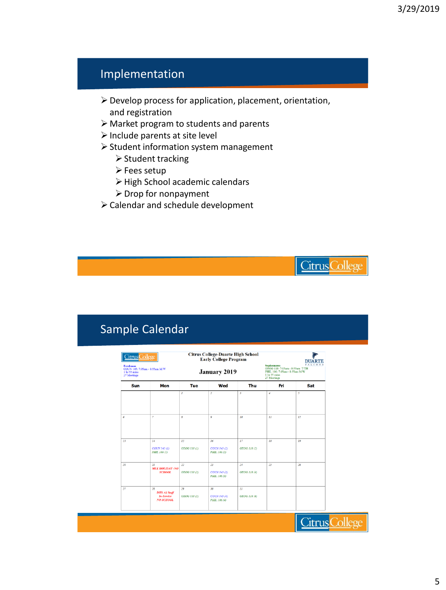### Implementation

- ➢Develop process for application, placement, orientation, and registration
- ➢ Market program to students and parents
- ➢Include parents at site level
- ➢Student information system management
	- ➢Student tracking
	- ➢Fees setup
	- ➢High School academic calendars
	- ➢Drop for nonpayment
- ➢Calendar and schedule development

### Sample Calendar

| Freshman<br>COUN 145: 7:05am - 8:55am M/W<br>1 hr 55 mins<br>27 Meetings |                                                                     |                           | <b>January 2019</b>                | <b>FALCON</b><br><b>Sophomores</b><br>GEOG 118: 7:05am - 8:55am T/TH<br>PHIL 106: 7:05am-8:55am M/W<br>1 hr 55 mins<br>27 Meetings |                  |     |  |  |
|--------------------------------------------------------------------------|---------------------------------------------------------------------|---------------------------|------------------------------------|------------------------------------------------------------------------------------------------------------------------------------|------------------|-----|--|--|
| Sun                                                                      | Mon                                                                 | Tue                       | Wed                                | Thu                                                                                                                                | Fri              | Sat |  |  |
|                                                                          |                                                                     | $\mathbf{I}$              | $\overline{z}$                     | $\overline{3}$                                                                                                                     | $\boldsymbol{d}$ | 5   |  |  |
| 6                                                                        | $\overline{\tau}$                                                   | $\boldsymbol{s}$          | $\circ$                            | 10                                                                                                                                 | II               | 12  |  |  |
| 13                                                                       | I4<br>COUN 145 (1)<br>PHIL 106 (1)                                  | 15<br><b>GEOG 118 (1)</b> | 16<br>COUN 145 (2)<br>PHIL 106 (2) | 17<br>GEOG 118 (2)                                                                                                                 | 18               | 19  |  |  |
| 20                                                                       | 2I<br><b>MLK HOLIDAY-NO</b><br><b>SCHOOL</b>                        | 22<br>GEOG 118 (3)        | 23<br>COUN 145 (3)<br>PHIL 106 (3) | 24<br>GEOG 118 (4)                                                                                                                 | 25               | 26  |  |  |
| 27                                                                       | 28<br><b>DHS All Staff</b><br><b>In-Service</b><br><b>NO SCHOOL</b> | 29<br>GEOG 118 (5)        | 30<br>COUN 145 (4)<br>PHIL 106 (4) | 31<br>GEOG 118 (6)                                                                                                                 |                  |     |  |  |

**Citrus College**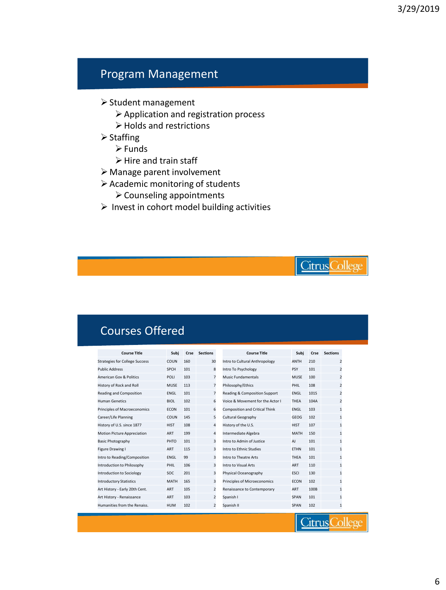### Program Management

- ➢Student management
	- ➢Application and registration process
	- ➢Holds and restrictions
- ➢Staffing
	- ➢Funds
	- $\triangleright$  Hire and train staff
- ➢ Manage parent involvement
- ➢Academic monitoring of students
	- ➢Counseling appointments
- $\triangleright$  Invest in cohort model building activities



**Citrus College** 

**Citrus College** 

### Courses Offered

| <b>Course Title</b>                   | Subi        | Crse | <b>Sections</b> | <b>Course Title</b>                   | Subi        | Crse | <b>Sections</b> |
|---------------------------------------|-------------|------|-----------------|---------------------------------------|-------------|------|-----------------|
| <b>Strategies for College Success</b> | COUN        | 160  | 30              | Intro to Cultural Anthropology        | <b>ANTH</b> | 210  | $\overline{2}$  |
| <b>Public Address</b>                 | <b>SPCH</b> | 101  | 8               | Intro To Psychology                   | <b>PSY</b>  | 101  | $\overline{2}$  |
| <b>American Gov &amp; Politics</b>    | POLI        | 103  | $\overline{7}$  | <b>Music Fundamentals</b>             | <b>MUSE</b> | 100  | $\overline{2}$  |
| History of Rock and Roll              | <b>MUSE</b> | 113  | $\overline{7}$  | Philosophy/Ethics                     | PHIL        | 108  | 2               |
| Reading and Composition               | <b>ENGL</b> | 101  | $\overline{7}$  | Reading & Composition Support         | <b>ENGL</b> | 101S | $\overline{2}$  |
| <b>Human Genetics</b>                 | <b>BIOL</b> | 102  | 6               | Voice & Movement for the Actor I      | THEA        | 104A | $\overline{2}$  |
| Principles of Macroeconomics          | <b>ECON</b> | 101  | 6               | <b>Composition and Critical Think</b> | <b>ENGL</b> | 103  | $\mathbf{1}$    |
| Career/Life Planning                  | COUN        | 145  | 5               | Cultural Geography                    | GEOG        | 102  | $\mathbf{1}$    |
| History of U.S. since 1877            | <b>HIST</b> | 108  | 4               | History of the U.S.                   | <b>HIST</b> | 107  | $\overline{1}$  |
| <b>Motion Picture Appreciation</b>    | <b>ART</b>  | 199  | 4               | Intermediate Algebra                  | <b>MATH</b> | 150  | 1               |
| <b>Basic Photography</b>              | PHTO        | 101  | 3               | Intro to Admin of Justice             | AJ          | 101  | $\mathbf{1}$    |
| Figure Drawing I                      | <b>ART</b>  | 115  | 3               | Intro to Ethnic Studies               | <b>ETHN</b> | 101  | $\overline{1}$  |
| Intro to Reading/Composition          | <b>ENGL</b> | 99   | 3               | Intro to Theatre Arts                 | THEA        | 101  | 1               |
| Introduction to Philosophy            | PHIL        | 106  | 3               | Intro to Visual Arts                  | ART         | 110  | $\mathbf{1}$    |
| <b>Introduction to Sociology</b>      | SOC         | 201  | 3               | Physical Oceanography                 | <b>ESCI</b> | 130  | $\overline{1}$  |
| <b>Introductory Statistics</b>        | <b>MATH</b> | 165  | 3               | Principles of Microeconomics          | <b>ECON</b> | 102  | 1               |
| Art History - Early 20th Cent.        | <b>ART</b>  | 105  | $\overline{2}$  | Renaissance to Contemporary           | ART         | 100B | $\mathbf{1}$    |
| Art History - Renaissance             | <b>ART</b>  | 103  | $\overline{2}$  | Spanish I                             | <b>SPAN</b> | 101  | $\mathbf{1}$    |
| Humanities from the Renaiss.          | <b>HUM</b>  | 102  | $\overline{2}$  | Spanish II                            | <b>SPAN</b> | 102  | $\overline{1}$  |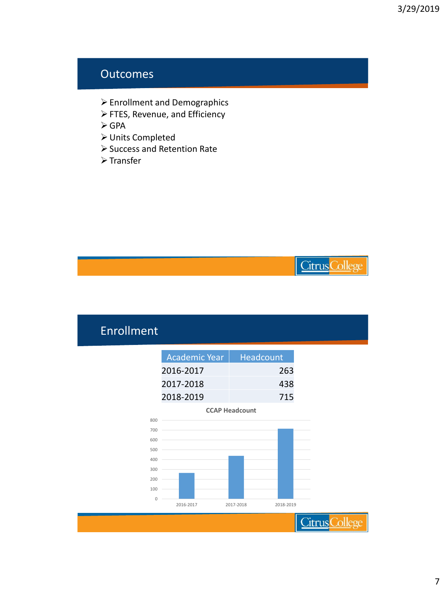#### **Outcomes**

- ➢Enrollment and Demographics
- ➢FTES, Revenue, and Efficiency
- ➢GPA
- ➢Units Completed
- ➢Success and Retention Rate
- ➢Transfer

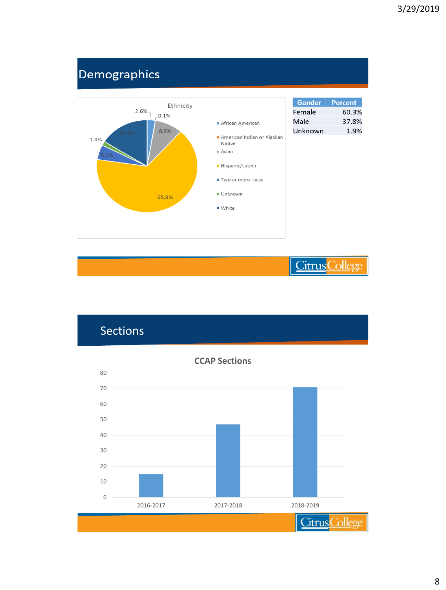# Demographics





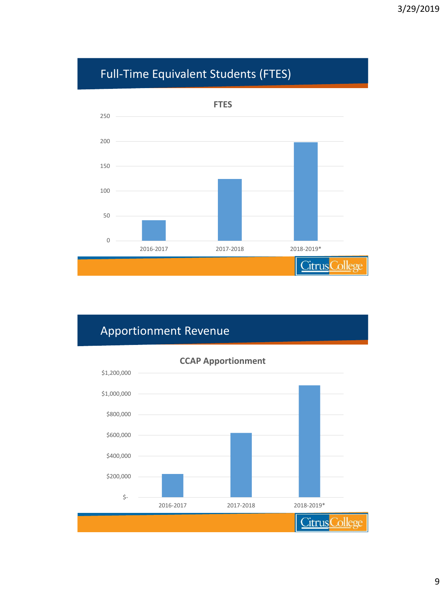# Full-Time Equivalent Students (FTES)



## Apportionment Revenue

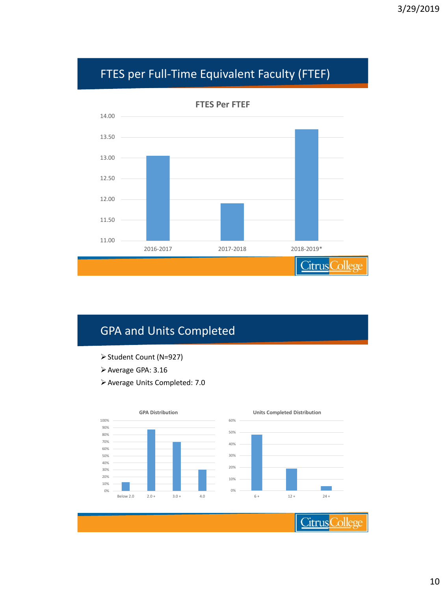# FTES per Full-Time Equivalent Faculty (FTEF)



## GPA and Units Completed

- ➢Student Count (N=927)
- ➢Average GPA: 3.16
- ➢Average Units Completed: 7.0

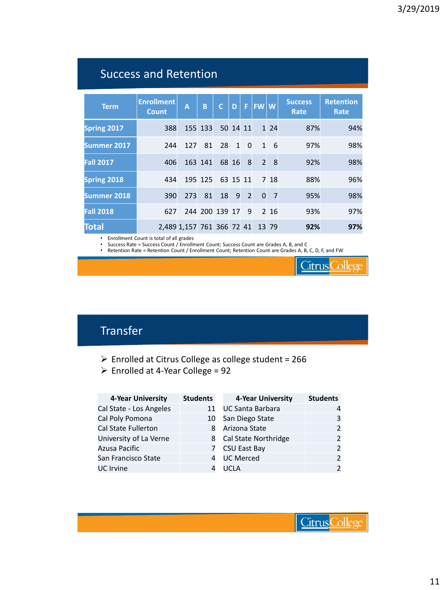## Success and Retention

| <b>Term</b>        | <b>Enrollment</b><br><b>Count</b> | A                         | B       | $\mathsf{C}$   | D        | F.             | <b>FWW</b>     |       | <b>Success</b><br>Rate | <b>Retention</b><br>Rate |
|--------------------|-----------------------------------|---------------------------|---------|----------------|----------|----------------|----------------|-------|------------------------|--------------------------|
| <b>Spring 2017</b> | 388                               |                           | 155 133 |                | 50 14 11 |                |                | 1 2 4 | 87%                    | 94%                      |
| Summer 2017        | 244                               | 127                       | 81      | 28             | 1        | $\Omega$       | $\mathbf{1}$   | 6     | 97%                    | 98%                      |
| <b>Fall 2017</b>   | 406                               |                           | 163 141 |                | 68 16    | 8              | $\overline{2}$ | 8     | 92%                    | 98%                      |
| <b>Spring 2018</b> | 434                               |                           | 195 125 |                | 63 15 11 |                |                | 7 18  | 88%                    | 96%                      |
| Summer 2018        | 390                               | 273                       | 81      | 18             | 9        | $\overline{2}$ | $\Omega$       | 7     | 95%                    | 98%                      |
| <b>Fall 2018</b>   | 627                               |                           |         | 244 200 139 17 |          | 9              |                | 2 16  | 93%                    | 97%                      |
| Total              |                                   | 2,489 1,157 761 366 72 41 |         |                |          |                |                | 13 79 | 92%                    | 97%                      |

• Enrollment Count is total of all grades<br>• Success Rate = Success Count / Enrollm

• Success Rate = Success Count / Enrollment Count; Success Count are Grades A, B, and C

• Retention Rate = Retention Count / Enrollment Count; Retention Count are Grades A, B, C, D, F, and FW

**Citrus College** 

## Transfer

- ➢ Enrolled at Citrus College as college student = 266
- ➢ Enrolled at 4-Year College = 92

| 4-Year University          | <b>Students</b> | 4-Year University       | <b>Students</b> |
|----------------------------|-----------------|-------------------------|-----------------|
| Cal State - Los Angeles    | 11              | <b>UC Santa Barbara</b> |                 |
| Cal Poly Pomona            | 10              | San Diego State         | 3               |
| <b>Cal State Fullerton</b> |                 | Arizona State           |                 |
| University of La Verne     | 8               | Cal State Northridge    |                 |
| Azusa Pacific              |                 | <b>CSU East Bay</b>     |                 |
| San Francisco State        |                 | <b>UC Merced</b>        |                 |
| <b>UC</b> Irvine           |                 | UCI A                   |                 |